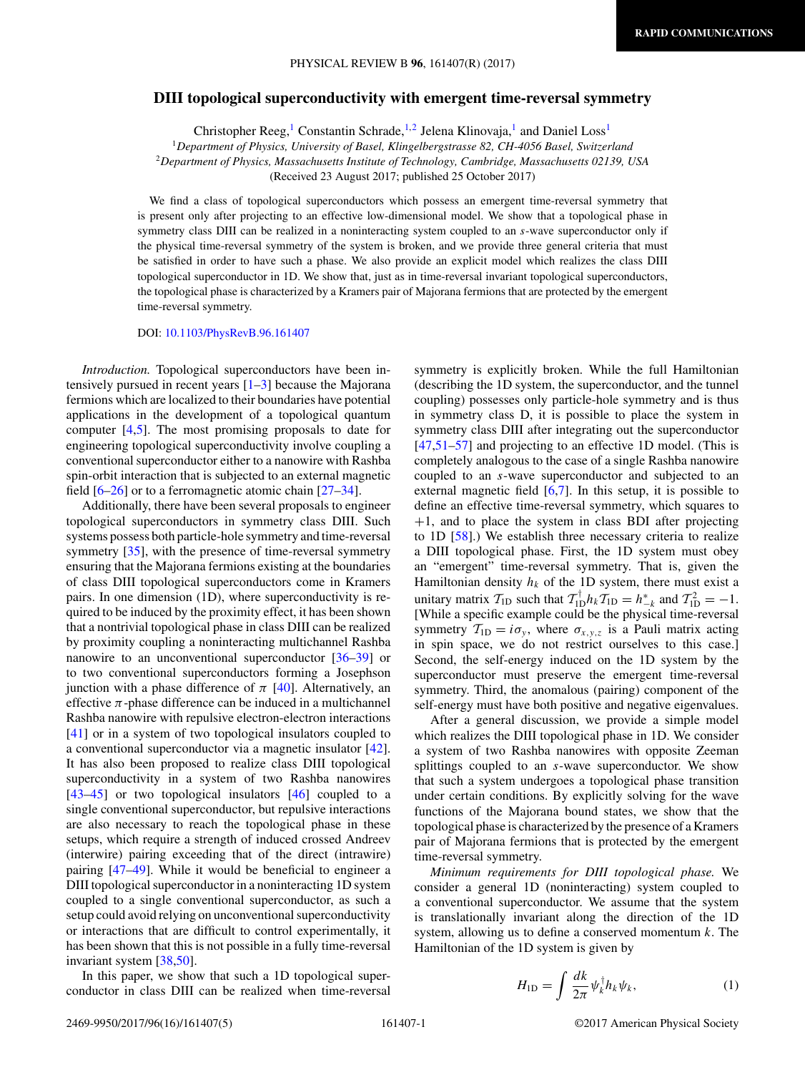## <span id="page-0-0"></span>**DIII topological superconductivity with emergent time-reversal symmetry**

Christopher Reeg,<sup>1</sup> Constantin Schrade,<sup>1,2</sup> Jelena Klinovaja,<sup>1</sup> and Daniel Loss<sup>1</sup>

<sup>1</sup>*Department of Physics, University of Basel, Klingelbergstrasse 82, CH-4056 Basel, Switzerland* <sup>2</sup>*Department of Physics, Massachusetts Institute of Technology, Cambridge, Massachusetts 02139, USA* (Received 23 August 2017; published 25 October 2017)

We find a class of topological superconductors which possess an emergent time-reversal symmetry that is present only after projecting to an effective low-dimensional model. We show that a topological phase in symmetry class DIII can be realized in a noninteracting system coupled to an *s*-wave superconductor only if the physical time-reversal symmetry of the system is broken, and we provide three general criteria that must be satisfied in order to have such a phase. We also provide an explicit model which realizes the class DIII topological superconductor in 1D. We show that, just as in time-reversal invariant topological superconductors, the topological phase is characterized by a Kramers pair of Majorana fermions that are protected by the emergent time-reversal symmetry.

DOI: [10.1103/PhysRevB.96.161407](https://doi.org/10.1103/PhysRevB.96.161407)

*Introduction.* Topological superconductors have been intensively pursued in recent years  $[1-3]$  because the Majorana fermions which are localized to their boundaries have potential applications in the development of a topological quantum computer [\[4,5\]](#page-3-0). The most promising proposals to date for engineering topological superconductivity involve coupling a conventional superconductor either to a nanowire with Rashba spin-orbit interaction that is subjected to an external magnetic field [\[6–](#page-3-0)[26\]](#page-4-0) or to a ferromagnetic atomic chain [\[27–34\]](#page-4-0).

Additionally, there have been several proposals to engineer topological superconductors in symmetry class DIII. Such systems possess both particle-hole symmetry and time-reversal symmetry [\[35\]](#page-4-0), with the presence of time-reversal symmetry ensuring that the Majorana fermions existing at the boundaries of class DIII topological superconductors come in Kramers pairs. In one dimension (1D), where superconductivity is required to be induced by the proximity effect, it has been shown that a nontrivial topological phase in class DIII can be realized by proximity coupling a noninteracting multichannel Rashba nanowire to an unconventional superconductor [\[36–39\]](#page-4-0) or to two conventional superconductors forming a Josephson junction with a phase difference of  $\pi$  [\[40\]](#page-4-0). Alternatively, an effective  $\pi$ -phase difference can be induced in a multichannel Rashba nanowire with repulsive electron-electron interactions [\[41\]](#page-4-0) or in a system of two topological insulators coupled to a conventional superconductor via a magnetic insulator [\[42\]](#page-4-0). It has also been proposed to realize class DIII topological superconductivity in a system of two Rashba nanowires [\[43–45\]](#page-4-0) or two topological insulators [\[46\]](#page-4-0) coupled to a single conventional superconductor, but repulsive interactions are also necessary to reach the topological phase in these setups, which require a strength of induced crossed Andreev (interwire) pairing exceeding that of the direct (intrawire) pairing [\[47–49\]](#page-4-0). While it would be beneficial to engineer a DIII topological superconductor in a noninteracting 1D system coupled to a single conventional superconductor, as such a setup could avoid relying on unconventional superconductivity or interactions that are difficult to control experimentally, it has been shown that this is not possible in a fully time-reversal invariant system [\[38,50\]](#page-4-0).

In this paper, we show that such a 1D topological superconductor in class DIII can be realized when time-reversal symmetry is explicitly broken. While the full Hamiltonian (describing the 1D system, the superconductor, and the tunnel coupling) possesses only particle-hole symmetry and is thus in symmetry class D, it is possible to place the system in symmetry class DIII after integrating out the superconductor [\[47,51–57\]](#page-4-0) and projecting to an effective 1D model. (This is completely analogous to the case of a single Rashba nanowire coupled to an *s*-wave superconductor and subjected to an external magnetic field [\[6,7\]](#page-3-0). In this setup, it is possible to define an effective time-reversal symmetry, which squares to  $+1$ , and to place the system in class BDI after projecting to 1D [\[58\]](#page-4-0).) We establish three necessary criteria to realize a DIII topological phase. First, the 1D system must obey an "emergent" time-reversal symmetry. That is, given the Hamiltonian density  $h_k$  of the 1D system, there must exist a unitary matrix  $T_{1D}$  such that  $T_{1D}^{\dagger}h_kT_{1D} = h_{-k}^*$  and  $T_{1D}^2 = -1$ . [While a specific example could be the physical time-reversal symmetry  $T_{1D} = i\sigma_y$ , where  $\sigma_{x,y,z}$  is a Pauli matrix acting in spin space, we do not restrict ourselves to this case.] Second, the self-energy induced on the 1D system by the superconductor must preserve the emergent time-reversal symmetry. Third, the anomalous (pairing) component of the self-energy must have both positive and negative eigenvalues.

After a general discussion, we provide a simple model which realizes the DIII topological phase in 1D. We consider a system of two Rashba nanowires with opposite Zeeman splittings coupled to an *s*-wave superconductor. We show that such a system undergoes a topological phase transition under certain conditions. By explicitly solving for the wave functions of the Majorana bound states, we show that the topological phase is characterized by the presence of a Kramers pair of Majorana fermions that is protected by the emergent time-reversal symmetry.

*Minimum requirements for DIII topological phase.* We consider a general 1D (noninteracting) system coupled to a conventional superconductor. We assume that the system is translationally invariant along the direction of the 1D system, allowing us to define a conserved momentum *k*. The Hamiltonian of the 1D system is given by

$$
H_{\rm 1D} = \int \frac{dk}{2\pi} \psi_k^{\dagger} h_k \psi_k, \qquad (1)
$$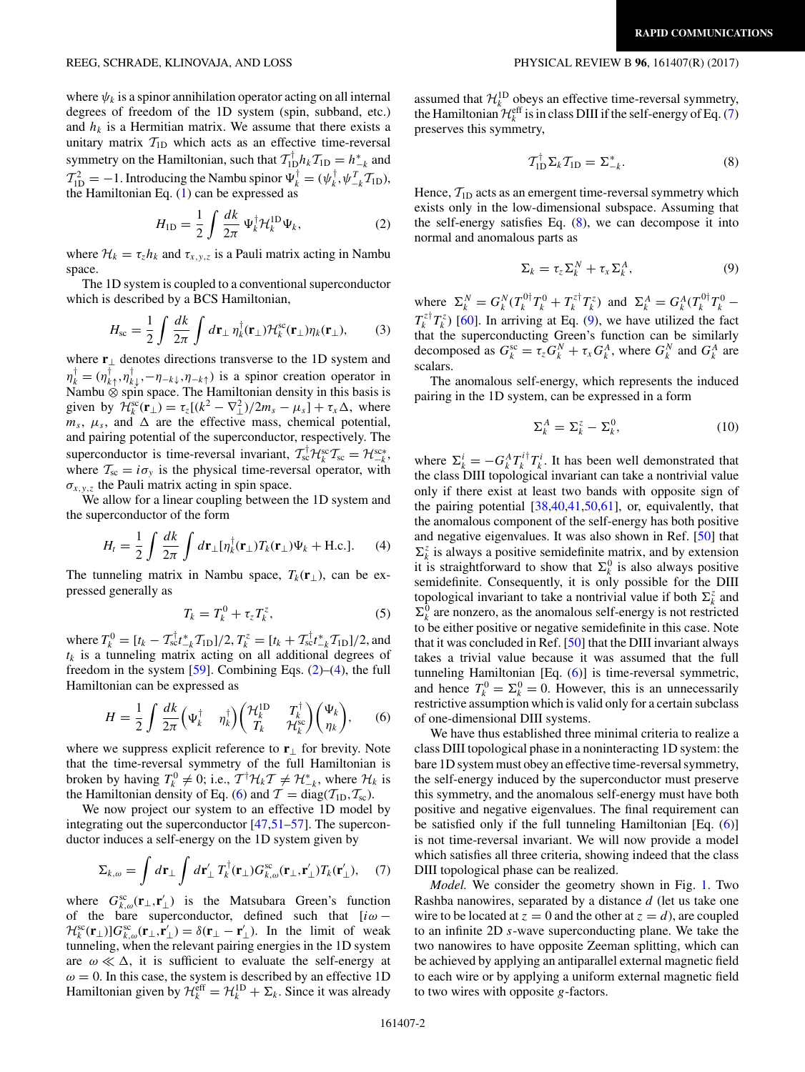<span id="page-1-0"></span>where  $\psi_k$  is a spinor annihilation operator acting on all internal degrees of freedom of the 1D system (spin, subband, etc.) and  $h_k$  is a Hermitian matrix. We assume that there exists a unitary matrix  $T_{1D}$  which acts as an effective time-reversal symmetry on the Hamiltonian, such that  $T_{1D}^{\dagger} h_k T_{1D} = h_{-k}^*$  and  $T_{1D}^2 = -1$ . Introducing the Nambu spinor  $\Psi_k^{\dagger} = (\psi_k^{\dagger}, \psi_{-k}^T T_{1D}),$ the Hamiltonian Eq. [\(1\)](#page-0-0) can be expressed as

$$
H_{\rm 1D} = \frac{1}{2} \int \frac{dk}{2\pi} \Psi_k^{\dagger} \mathcal{H}_k^{\rm 1D} \Psi_k, \tag{2}
$$

where  $\mathcal{H}_k = \tau_z h_k$  and  $\tau_{x,y,z}$  is a Pauli matrix acting in Nambu space.

The 1D system is coupled to a conventional superconductor which is described by a BCS Hamiltonian,

$$
H_{\rm sc} = \frac{1}{2} \int \frac{dk}{2\pi} \int d\mathbf{r}_{\perp} \eta_k^{\dagger}(\mathbf{r}_{\perp}) \mathcal{H}_k^{\rm sc}(\mathbf{r}_{\perp}) \eta_k(\mathbf{r}_{\perp}), \qquad (3)
$$

where **r**<sup>⊥</sup> denotes directions transverse to the 1D system and  $\eta_k^{\dagger} = (\eta_{k\uparrow}^{\dagger}, \eta_{k\downarrow}^{\dagger}, -\eta_{-k\downarrow}, \eta_{-k\uparrow})$  is a spinor creation operator in Nambu ⊗ spin space. The Hamiltonian density in this basis is given by  $\mathcal{H}_k^{\text{sc}}(\mathbf{r}_\perp) = \tau_z[(k^2 - \nabla_\perp^2)/2m_s - \mu_s] + \tau_x \Delta$ , where  $m_s$ ,  $\mu_s$ , and  $\Delta$  are the effective mass, chemical potential, and pairing potential of the superconductor, respectively. The superconductor is time-reversal invariant,  $T_{sc}^{\dagger} \mathcal{H}_{k}^{sc} T_{sc} = \mathcal{H}_{-k}^{sc*}$ , where  $T_{\rm sc} = i\sigma_{\rm v}$  is the physical time-reversal operator, with  $\sigma_{x,y,z}$  the Pauli matrix acting in spin space.

We allow for a linear coupling between the 1D system and the superconductor of the form

$$
H_t = \frac{1}{2} \int \frac{dk}{2\pi} \int d\mathbf{r}_{\perp} [\eta_k^{\dagger}(\mathbf{r}_{\perp}) T_k(\mathbf{r}_{\perp}) \Psi_k + \text{H.c.}]. \tag{4}
$$

The tunneling matrix in Nambu space,  $T_k(\mathbf{r}_\perp)$ , can be expressed generally as

$$
T_k = T_k^0 + \tau_z T_k^z,\tag{5}
$$

where  $T_k^0 = [t_k - T_{\rm sc}^\dagger t_{-k}^*T_{\rm ID}]/2, T_k^z = [t_k + T_{\rm sc}^\dagger t_{-k}^*T_{\rm ID}]/2$ , and  $t_k$  is a tunneling matrix acting on all additional degrees of freedom in the system  $[59]$ . Combining Eqs.  $(2)$ – $(4)$ , the full Hamiltonian can be expressed as

$$
H = \frac{1}{2} \int \frac{dk}{2\pi} \left( \Psi_k^{\dagger} \quad \eta_k^{\dagger} \right) \left( \begin{matrix} \mathcal{H}_k^{\mathrm{ID}} & T_k^{\dagger} \\ T_k & \mathcal{H}_k^{\mathrm{sc}} \end{matrix} \right) \left( \begin{matrix} \Psi_k \\ \eta_k \end{matrix} \right), \tag{6}
$$

where we suppress explicit reference to **r**<sup>⊥</sup> for brevity. Note that the time-reversal symmetry of the full Hamiltonian is broken by having  $T_k^0 \neq 0$ ; i.e.,  $T^{\dagger} \mathcal{H}_k T \neq \mathcal{H}_{-k}^*$ , where  $\mathcal{H}_k$  is the Hamiltonian density of Eq. (6) and  $T = diag(T_{1D}, T_{sc})$ .

We now project our system to an effective 1D model by integrating out the superconductor [\[47,51–57\]](#page-4-0). The superconductor induces a self-energy on the 1D system given by

$$
\Sigma_{k,\omega} = \int d\mathbf{r}_{\perp} \int d\mathbf{r}'_{\perp} T_k^{\dagger}(\mathbf{r}_{\perp}) G_{k,\omega}^{\rm sc}(\mathbf{r}_{\perp},\mathbf{r}'_{\perp}) T_k(\mathbf{r}'_{\perp}), \quad (7)
$$

where  $G_{k,\omega}^{\text{sc}}(\mathbf{r}_{\perp},\mathbf{r}'_{\perp})$  is the Matsubara Green's function of the bare superconductor, defined such that [*iω* −  $\mathcal{H}_k^{\text{sc}}(\mathbf{r}_\perp) \big| G_{k,\omega}^{\text{sc}}(\mathbf{r}_\perp \cdot \mathbf{r}'_\perp) = \delta(\mathbf{r}_\perp - \mathbf{r}'_\perp)$ . In the limit of weak tunneling, when the relevant pairing energies in the 1D system are  $\omega \ll \Delta$ , it is sufficient to evaluate the self-energy at  $\omega = 0$ . In this case, the system is described by an effective 1D Hamiltonian given by  $\mathcal{H}_k^{\text{eff}} = \mathcal{H}_k^{\text{1D}} + \Sigma_k$ . Since it was already

assumed that  $\mathcal{H}_k^{\text{1D}}$  obeys an effective time-reversal symmetry, the Hamiltonian  $\mathcal{H}_k^{\text{eff}}$  is in class DIII if the self-energy of Eq. (7) preserves this symmetry,

$$
\mathcal{T}_{1D}^{\dagger} \Sigma_k \mathcal{T}_{1D} = \Sigma_{-k}^*.
$$
 (8)

Hence,  $T_{1D}$  acts as an emergent time-reversal symmetry which exists only in the low-dimensional subspace. Assuming that the self-energy satisfies Eq.  $(8)$ , we can decompose it into normal and anomalous parts as

$$
\Sigma_k = \tau_z \Sigma_k^N + \tau_x \Sigma_k^A, \tag{9}
$$

where  $\Sigma_k^N = G_k^N (T_k^{0\dagger} T_k^0 + T_k^{z\dagger} T_k^z)$  and  $\Sigma_k^A = G_k^A (T_k^{0\dagger} T_k^0 T_k^{z\dagger} T_k^z$ ) [\[60\]](#page-4-0). In arriving at Eq. (9), we have utilized the fact that the superconducting Green's function can be similarly decomposed as  $G_k^{\text{sc}} = \tau_z G_k^N + \tau_x G_k^A$ , where  $G_k^N$  and  $G_k^A$  are scalars.

The anomalous self-energy, which represents the induced pairing in the 1D system, can be expressed in a form

$$
\Sigma_k^A = \Sigma_k^z - \Sigma_k^0,\tag{10}
$$

where  $\Sigma_k^i = -G_k^A T_k^{i\dagger} T_k^i$ . It has been well demonstrated that the class DIII topological invariant can take a nontrivial value only if there exist at least two bands with opposite sign of the pairing potential [\[38,40,41,50,61\]](#page-4-0), or, equivalently, that the anomalous component of the self-energy has both positive and negative eigenvalues. It was also shown in Ref. [\[50\]](#page-4-0) that  $\Sigma_k^z$  is always a positive semidefinite matrix, and by extension it is straightforward to show that  $\Sigma_k^0$  is also always positive semidefinite. Consequently, it is only possible for the DIII topological invariant to take a nontrivial value if both  $\Sigma_k^z$  and  $\Sigma_k^0$  are nonzero, as the anomalous self-energy is not restricted to be either positive or negative semidefinite in this case. Note that it was concluded in Ref. [\[50\]](#page-4-0) that the DIII invariant always takes a trivial value because it was assumed that the full tunneling Hamiltonian [Eq. (6)] is time-reversal symmetric, and hence  $T_k^0 = \Sigma_k^0 = 0$ . However, this is an unnecessarily restrictive assumption which is valid only for a certain subclass of one-dimensional DIII systems.

We have thus established three minimal criteria to realize a class DIII topological phase in a noninteracting 1D system: the bare 1D system must obey an effective time-reversal symmetry, the self-energy induced by the superconductor must preserve this symmetry, and the anomalous self-energy must have both positive and negative eigenvalues. The final requirement can be satisfied only if the full tunneling Hamiltonian [Eq. (6)] is not time-reversal invariant. We will now provide a model which satisfies all three criteria, showing indeed that the class DIII topological phase can be realized.

*Model.* We consider the geometry shown in Fig. [1.](#page-2-0) Two Rashba nanowires, separated by a distance *d* (let us take one wire to be located at  $z = 0$  and the other at  $z = d$ , are coupled to an infinite 2D *s*-wave superconducting plane. We take the two nanowires to have opposite Zeeman splitting, which can be achieved by applying an antiparallel external magnetic field to each wire or by applying a uniform external magnetic field to two wires with opposite *g*-factors.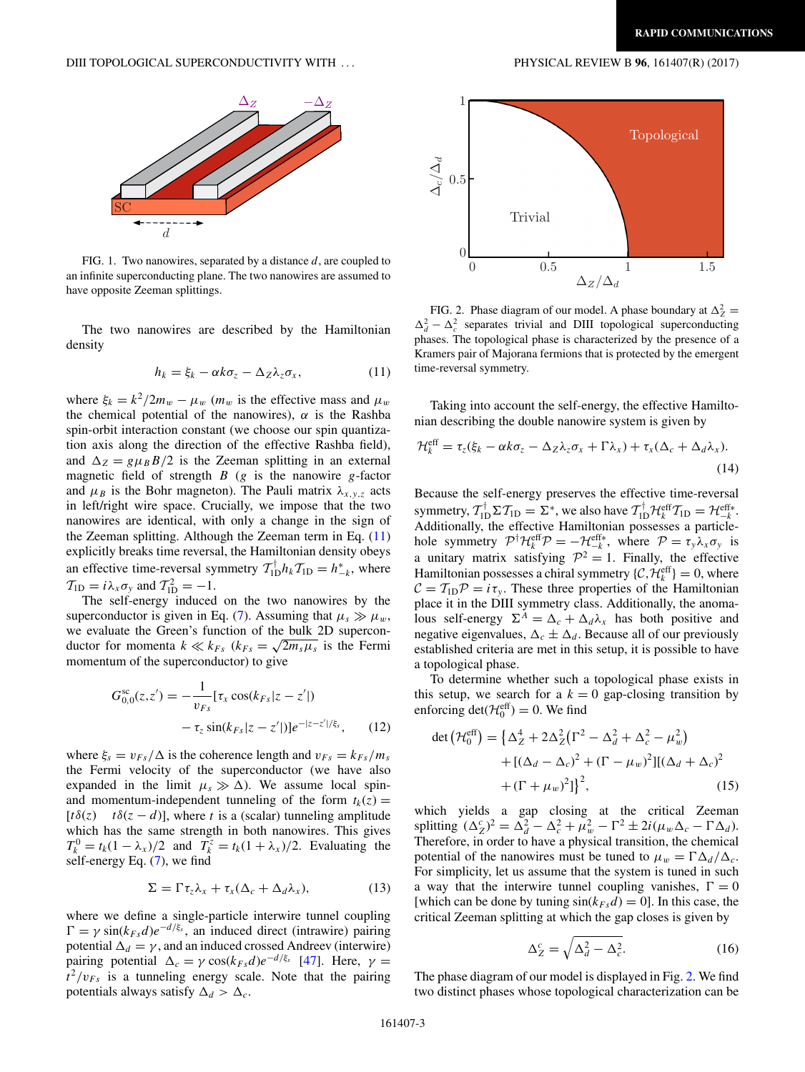<span id="page-2-0"></span>

FIG. 1. Two nanowires, separated by a distance *d*, are coupled to an infinite superconducting plane. The two nanowires are assumed to have opposite Zeeman splittings.

The two nanowires are described by the Hamiltonian density

$$
h_k = \xi_k - \alpha k \sigma_z - \Delta_Z \lambda_z \sigma_x, \qquad (11)
$$

where  $\xi_k = k^2/2m_w - \mu_w$  ( $m_w$  is the effective mass and  $\mu_w$ ) the chemical potential of the nanowires),  $\alpha$  is the Rashba spin-orbit interaction constant (we choose our spin quantization axis along the direction of the effective Rashba field), and  $\Delta_Z = g \mu_B B/2$  is the Zeeman splitting in an external magnetic field of strength *B* (*g* is the nanowire *g*-factor and  $\mu_B$  is the Bohr magneton). The Pauli matrix  $\lambda_{x,y,z}$  acts in left/right wire space. Crucially, we impose that the two nanowires are identical, with only a change in the sign of the Zeeman splitting. Although the Zeeman term in Eq. (11) explicitly breaks time reversal, the Hamiltonian density obeys an effective time-reversal symmetry  $T_{1D}^{\dagger}h_kT_{1D} = h_{-k}^*$ , where  $T_{1D} = i\lambda_x \sigma_y$  and  $T_{1D}^2 = -1$ .

The self-energy induced on the two nanowires by the superconductor is given in Eq. [\(7\)](#page-1-0). Assuming that  $\mu_s \gg \mu_w$ , we evaluate the Green's function of the bulk 2D superconwe evaluate the Green's function of the bulk 2D superconductor for momenta  $k \ll k_{Fs}$  ( $k_{Fs} = \sqrt{2m_s\mu_s}$  is the Fermi momentum of the superconductor) to give

$$
G_{0,0}^{\rm sc}(z,z') = -\frac{1}{v_{Fs}}[\tau_x \cos(k_{Fs}|z-z'|) - \tau_z \sin(k_{Fs}|z-z'|)]e^{-|z-z'|/\xi_s}, \qquad (12)
$$

where  $\xi_s = v_{Fs} / \Delta$  is the coherence length and  $v_{Fs} = k_{Fs} / m_s$ the Fermi velocity of the superconductor (we have also expanded in the limit  $\mu_s \gg \Delta$ ). We assume local spinand momentum-independent tunneling of the form  $t_k(z) =$  $[t\delta(z)$  *t* $\delta(z - d)$ ], where *t* is a (scalar) tunneling amplitude which has the same strength in both nanowires. This gives  $T_k^0 = t_k(1 - \lambda_x)/2$  and  $T_k^z = t_k(1 + \lambda_x)/2$ . Evaluating the self-energy Eq. [\(7\)](#page-1-0), we find

$$
\Sigma = \Gamma \tau_z \lambda_x + \tau_x (\Delta_c + \Delta_d \lambda_x), \tag{13}
$$

where we define a single-particle interwire tunnel coupling  $\Gamma = \gamma \sin(k_{Fs}d)e^{-d/\xi_s}$ , an induced direct (intrawire) pairing potential  $\Delta_d = \gamma$ , and an induced crossed Andreev (interwire) pairing potential  $\Delta_c = \gamma \cos(k_{Fs}d)e^{-d/\xi_s}$  [\[47\]](#page-4-0). Here,  $\gamma =$  $t^2/v_{Fs}$  is a tunneling energy scale. Note that the pairing potentials always satisfy  $\Delta_d > \Delta_c$ .



FIG. 2. Phase diagram of our model. A phase boundary at  $\Delta_Z^2 =$  $\Delta_d^2 - \Delta_c^2$  separates trivial and DIII topological superconducting phases. The topological phase is characterized by the presence of a Kramers pair of Majorana fermions that is protected by the emergent time-reversal symmetry.

Taking into account the self-energy, the effective Hamiltonian describing the double nanowire system is given by

$$
\mathcal{H}_k^{\text{eff}} = \tau_z(\xi_k - \alpha k \sigma_z - \Delta_Z \lambda_z \sigma_x + \Gamma \lambda_x) + \tau_x (\Delta_c + \Delta_d \lambda_x).
$$
\n(14)

Because the self-energy preserves the effective time-reversal symmetry,  $T_{1D}^{\dagger} \Sigma T_{1D} = \Sigma^*$ , we also have  $T_{1D}^{\dagger} \mathcal{H}_k^{\text{eff}} T_{1D} = \mathcal{H}_{-k}^{\text{eff}*}$ . Additionally, the effective Hamiltonian possesses a particlehole symmetry  $\mathcal{P}^{\dagger} \mathcal{H}^{\text{eff}}_k \mathcal{P} = -\mathcal{H}^{\text{eff}*}_{-k}$ , where  $\mathcal{P} = \tau_y \lambda_x \sigma_y$  is a unitary matrix satisfying  $\mathcal{P}^2 = 1$ . Finally, the effective Hamiltonian possesses a chiral symmetry  $\{\mathcal{C}, \mathcal{H}_k^{\text{eff}}\} = 0$ , where  $C = T_{1D}P = i\tau_y$ . These three properties of the Hamiltonian place it in the DIII symmetry class. Additionally, the anomalous self-energy  $\Sigma^A = \Delta_c + \Delta_d \lambda_x$  has both positive and negative eigenvalues,  $\Delta_c \pm \Delta_d$ . Because all of our previously established criteria are met in this setup, it is possible to have a topological phase.

To determine whether such a topological phase exists in this setup, we search for a  $k = 0$  gap-closing transition by enforcing  $det(\mathcal{H}_0^{\text{eff}}) = 0$ . We find

$$
\det \left( \mathcal{H}_0^{\text{eff}} \right) = \left\{ \Delta_Z^4 + 2\Delta_Z^2 \left( \Gamma^2 - \Delta_d^2 + \Delta_c^2 - \mu_w^2 \right) \right. \\ \left. + \left[ (\Delta_d - \Delta_c)^2 + (\Gamma - \mu_w)^2 \right] \left[ (\Delta_d + \Delta_c)^2 \right. \\ \left. + (\Gamma + \mu_w)^2 \right] \right\}^2, \tag{15}
$$

which yields a gap closing at the critical Zeeman splitting  $(\Delta_Z^c)^2 = \Delta_d^2 - \Delta_c^2 + \mu_w^2 - \Gamma^2 \pm 2i(\mu_w \Delta_c - \Gamma \Delta_d).$ Therefore, in order to have a physical transition, the chemical potential of the nanowires must be tuned to  $\mu_w = \Gamma \Delta_d / \Delta_c$ . For simplicity, let us assume that the system is tuned in such a way that the interwire tunnel coupling vanishes,  $\Gamma = 0$ [which can be done by tuning  $sin(k_{Fs}d) = 0$ ]. In this case, the critical Zeeman splitting at which the gap closes is given by

$$
\Delta_Z^c = \sqrt{\Delta_d^2 - \Delta_c^2}.\tag{16}
$$

The phase diagram of our model is displayed in Fig. 2. We find two distinct phases whose topological characterization can be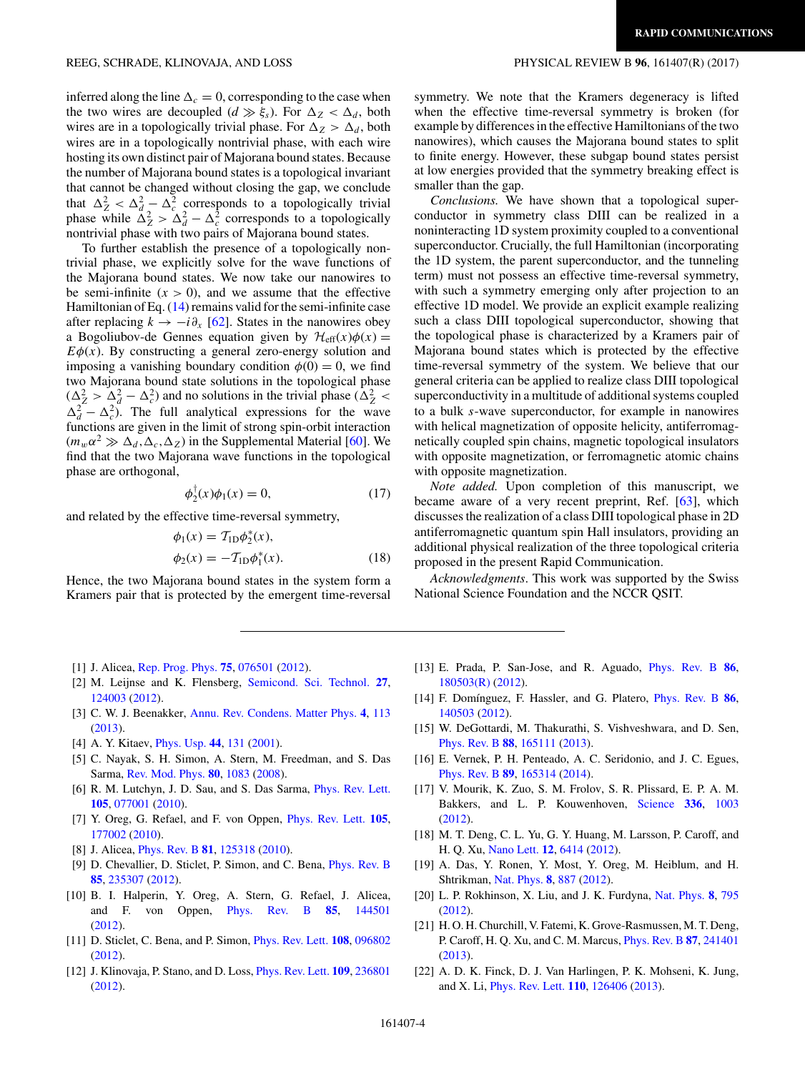<span id="page-3-0"></span>inferred along the line  $\Delta_c = 0$ , corresponding to the case when the two wires are decoupled  $(d \gg \xi_s)$ . For  $\Delta_Z < \Delta_d$ , both wires are in a topologically trivial phase. For  $\Delta z > \Delta_d$ , both wires are in a topologically nontrivial phase, with each wire hosting its own distinct pair of Majorana bound states. Because the number of Majorana bound states is a topological invariant that cannot be changed without closing the gap, we conclude that  $\Delta_Z^2 < \Delta_d^2 - \Delta_c^2$  corresponds to a topologically trivial phase while  $\Delta_Z^2 > \Delta_d^2 - \Delta_c^2$  corresponds to a topologically nontrivial phase with two pairs of Majorana bound states.

To further establish the presence of a topologically nontrivial phase, we explicitly solve for the wave functions of the Majorana bound states. We now take our nanowires to be semi-infinite  $(x > 0)$ , and we assume that the effective Hamiltonian of Eq. [\(14\)](#page-2-0) remains valid for the semi-infinite case after replacing  $k \rightarrow -i\partial_x$  [\[62\]](#page-4-0). States in the nanowires obey a Bogoliubov-de Gennes equation given by  $\mathcal{H}_{eff}(x)\phi(x) =$  $E\phi(x)$ . By constructing a general zero-energy solution and imposing a vanishing boundary condition  $\phi(0) = 0$ , we find two Majorana bound state solutions in the topological phase  $(\Delta_Z^2 > \Delta_d^2 - \Delta_c^2)$  and no solutions in the trivial phase  $(\Delta_Z^2 <$  $\Delta_d^2 - \Delta_c^2$ ). The full analytical expressions for the wave functions are given in the limit of strong spin-orbit interaction  $(m_w \alpha^2 \gg \Delta_d, \Delta_c, \Delta_z)$  in the Supplemental Material [\[60\]](#page-4-0). We find that the two Majorana wave functions in the topological phase are orthogonal,

$$
\phi_2^{\dagger}(x)\phi_1(x) = 0, \tag{17}
$$

and related by the effective time-reversal symmetry,

$$
\phi_1(x) = T_{1D}\phi_2^*(x), \n\phi_2(x) = -T_{1D}\phi_1^*(x).
$$
\n(18)

Hence, the two Majorana bound states in the system form a Kramers pair that is protected by the emergent time-reversal

- [1] J. Alicea, [Rep. Prog. Phys.](https://doi.org/10.1088/0034-4885/75/7/076501) **[75](https://doi.org/10.1088/0034-4885/75/7/076501)**, [076501](https://doi.org/10.1088/0034-4885/75/7/076501) [\(2012\)](https://doi.org/10.1088/0034-4885/75/7/076501).
- [2] M. Leijnse and K. Flensberg, [Semicond. Sci. Technol.](https://doi.org/10.1088/0268-1242/27/12/124003) **[27](https://doi.org/10.1088/0268-1242/27/12/124003)**, [124003](https://doi.org/10.1088/0268-1242/27/12/124003) [\(2012\)](https://doi.org/10.1088/0268-1242/27/12/124003).
- [3] C. W. J. Beenakker, [Annu. Rev. Condens. Matter Phys.](https://doi.org/10.1146/annurev-conmatphys-030212-184337) **[4](https://doi.org/10.1146/annurev-conmatphys-030212-184337)**, [113](https://doi.org/10.1146/annurev-conmatphys-030212-184337) [\(2013\)](https://doi.org/10.1146/annurev-conmatphys-030212-184337).
- [4] A. Y. Kitaev, [Phys. Usp.](https://doi.org/10.1070/1063-7869/44/10S/S29) **[44](https://doi.org/10.1070/1063-7869/44/10S/S29)**, [131](https://doi.org/10.1070/1063-7869/44/10S/S29) [\(2001\)](https://doi.org/10.1070/1063-7869/44/10S/S29).
- [5] C. Nayak, S. H. Simon, A. Stern, M. Freedman, and S. Das Sarma, [Rev. Mod. Phys.](https://doi.org/10.1103/RevModPhys.80.1083) **[80](https://doi.org/10.1103/RevModPhys.80.1083)**, [1083](https://doi.org/10.1103/RevModPhys.80.1083) [\(2008\)](https://doi.org/10.1103/RevModPhys.80.1083).
- [6] R. M. Lutchyn, J. D. Sau, and S. Das Sarma, [Phys. Rev. Lett.](https://doi.org/10.1103/PhysRevLett.105.077001) **[105](https://doi.org/10.1103/PhysRevLett.105.077001)**, [077001](https://doi.org/10.1103/PhysRevLett.105.077001) [\(2010\)](https://doi.org/10.1103/PhysRevLett.105.077001).
- [7] Y. Oreg, G. Refael, and F. von Oppen, [Phys. Rev. Lett.](https://doi.org/10.1103/PhysRevLett.105.177002) **[105](https://doi.org/10.1103/PhysRevLett.105.177002)**, [177002](https://doi.org/10.1103/PhysRevLett.105.177002) [\(2010\)](https://doi.org/10.1103/PhysRevLett.105.177002).
- [8] J. Alicea, [Phys. Rev. B](https://doi.org/10.1103/PhysRevB.81.125318) **[81](https://doi.org/10.1103/PhysRevB.81.125318)**, [125318](https://doi.org/10.1103/PhysRevB.81.125318) [\(2010\)](https://doi.org/10.1103/PhysRevB.81.125318).
- [9] D. Chevallier, D. Sticlet, P. Simon, and C. Bena, [Phys. Rev. B](https://doi.org/10.1103/PhysRevB.85.235307) **[85](https://doi.org/10.1103/PhysRevB.85.235307)**, [235307](https://doi.org/10.1103/PhysRevB.85.235307) [\(2012\)](https://doi.org/10.1103/PhysRevB.85.235307).
- [10] B. I. Halperin, Y. Oreg, A. Stern, G. Refael, J. Alicea, and F. von Oppen, [Phys. Rev. B](https://doi.org/10.1103/PhysRevB.85.144501) **[85](https://doi.org/10.1103/PhysRevB.85.144501)**, [144501](https://doi.org/10.1103/PhysRevB.85.144501) [\(2012\)](https://doi.org/10.1103/PhysRevB.85.144501).
- [11] D. Sticlet, C. Bena, and P. Simon, [Phys. Rev. Lett.](https://doi.org/10.1103/PhysRevLett.108.096802) **[108](https://doi.org/10.1103/PhysRevLett.108.096802)**, [096802](https://doi.org/10.1103/PhysRevLett.108.096802) [\(2012\)](https://doi.org/10.1103/PhysRevLett.108.096802).
- [12] J. Klinovaja, P. Stano, and D. Loss, [Phys. Rev. Lett.](https://doi.org/10.1103/PhysRevLett.109.236801) **[109](https://doi.org/10.1103/PhysRevLett.109.236801)**, [236801](https://doi.org/10.1103/PhysRevLett.109.236801) [\(2012\)](https://doi.org/10.1103/PhysRevLett.109.236801).

symmetry. We note that the Kramers degeneracy is lifted when the effective time-reversal symmetry is broken (for example by differences in the effective Hamiltonians of the two nanowires), which causes the Majorana bound states to split to finite energy. However, these subgap bound states persist at low energies provided that the symmetry breaking effect is smaller than the gap.

*Conclusions.* We have shown that a topological superconductor in symmetry class DIII can be realized in a noninteracting 1D system proximity coupled to a conventional superconductor. Crucially, the full Hamiltonian (incorporating the 1D system, the parent superconductor, and the tunneling term) must not possess an effective time-reversal symmetry, with such a symmetry emerging only after projection to an effective 1D model. We provide an explicit example realizing such a class DIII topological superconductor, showing that the topological phase is characterized by a Kramers pair of Majorana bound states which is protected by the effective time-reversal symmetry of the system. We believe that our general criteria can be applied to realize class DIII topological superconductivity in a multitude of additional systems coupled to a bulk *s*-wave superconductor, for example in nanowires with helical magnetization of opposite helicity, antiferromagnetically coupled spin chains, magnetic topological insulators with opposite magnetization, or ferromagnetic atomic chains with opposite magnetization.

*Note added.* Upon completion of this manuscript, we became aware of a very recent preprint, Ref. [\[63\]](#page-4-0), which discusses the realization of a class DIII topological phase in 2D antiferromagnetic quantum spin Hall insulators, providing an additional physical realization of the three topological criteria proposed in the present Rapid Communication.

*Acknowledgments*. This work was supported by the Swiss National Science Foundation and the NCCR QSIT.

- [13] E. Prada, P. San-Jose, and R. Aguado, [Phys. Rev. B](https://doi.org/10.1103/PhysRevB.86.180503) **[86](https://doi.org/10.1103/PhysRevB.86.180503)**, [180503\(R\)](https://doi.org/10.1103/PhysRevB.86.180503) [\(2012\)](https://doi.org/10.1103/PhysRevB.86.180503).
- [14] F. Domínguez, F. Hassler, and G. Platero, [Phys. Rev. B](https://doi.org/10.1103/PhysRevB.86.140503) **[86](https://doi.org/10.1103/PhysRevB.86.140503)**, [140503](https://doi.org/10.1103/PhysRevB.86.140503) [\(2012\)](https://doi.org/10.1103/PhysRevB.86.140503).
- [15] W. DeGottardi, M. Thakurathi, S. Vishveshwara, and D. Sen, [Phys. Rev. B](https://doi.org/10.1103/PhysRevB.88.165111) **[88](https://doi.org/10.1103/PhysRevB.88.165111)**, [165111](https://doi.org/10.1103/PhysRevB.88.165111) [\(2013\)](https://doi.org/10.1103/PhysRevB.88.165111).
- [16] E. Vernek, P. H. Penteado, A. C. Seridonio, and J. C. Egues, [Phys. Rev. B](https://doi.org/10.1103/PhysRevB.89.165314) **[89](https://doi.org/10.1103/PhysRevB.89.165314)**, [165314](https://doi.org/10.1103/PhysRevB.89.165314) [\(2014\)](https://doi.org/10.1103/PhysRevB.89.165314).
- [17] V. Mourik, K. Zuo, S. M. Frolov, S. R. Plissard, E. P. A. M. Bakkers, and L. P. Kouwenhoven, [Science](https://doi.org/10.1126/science.1222360) **[336](https://doi.org/10.1126/science.1222360)**, [1003](https://doi.org/10.1126/science.1222360) [\(2012\)](https://doi.org/10.1126/science.1222360).
- [18] M. T. Deng, C. L. Yu, G. Y. Huang, M. Larsson, P. Caroff, and H. Q. Xu, [Nano Lett.](https://doi.org/10.1021/nl303758w) **[12](https://doi.org/10.1021/nl303758w)**, [6414](https://doi.org/10.1021/nl303758w) [\(2012\)](https://doi.org/10.1021/nl303758w).
- [19] A. Das, Y. Ronen, Y. Most, Y. Oreg, M. Heiblum, and H. Shtrikman, [Nat. Phys.](https://doi.org/10.1038/nphys2479) **[8](https://doi.org/10.1038/nphys2479)**, [887](https://doi.org/10.1038/nphys2479) [\(2012\)](https://doi.org/10.1038/nphys2479).
- [20] L. P. Rokhinson, X. Liu, and J. K. Furdyna, [Nat. Phys.](https://doi.org/10.1038/nphys2429) **[8](https://doi.org/10.1038/nphys2429)**, [795](https://doi.org/10.1038/nphys2429) [\(2012\)](https://doi.org/10.1038/nphys2429).
- [21] H. O. H. Churchill, V. Fatemi, K. Grove-Rasmussen, M. T. Deng, P. Caroff, H. Q. Xu, and C. M. Marcus, [Phys. Rev. B](https://doi.org/10.1103/PhysRevB.87.241401) **[87](https://doi.org/10.1103/PhysRevB.87.241401)**, [241401](https://doi.org/10.1103/PhysRevB.87.241401) [\(2013\)](https://doi.org/10.1103/PhysRevB.87.241401).
- [22] A. D. K. Finck, D. J. Van Harlingen, P. K. Mohseni, K. Jung, and X. Li, [Phys. Rev. Lett.](https://doi.org/10.1103/PhysRevLett.110.126406) **[110](https://doi.org/10.1103/PhysRevLett.110.126406)**, [126406](https://doi.org/10.1103/PhysRevLett.110.126406) [\(2013\)](https://doi.org/10.1103/PhysRevLett.110.126406).